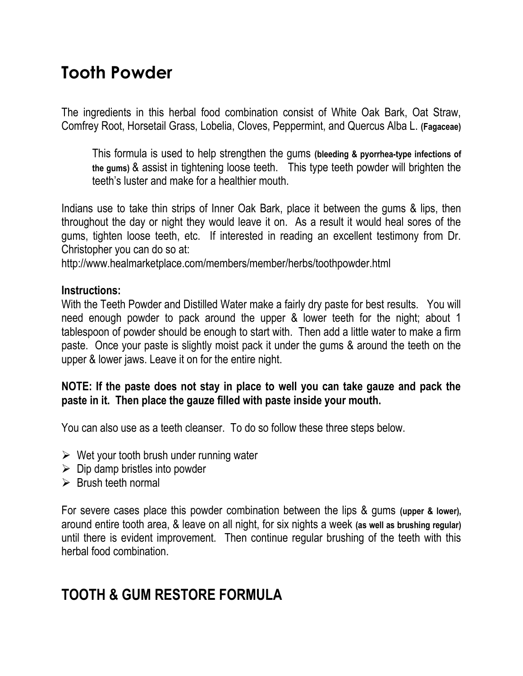# **Tooth Powder**

The ingredients in this herbal food combination consist of White Oak Bark, Oat Straw, Comfrey Root, Horsetail Grass, Lobelia, Cloves, Peppermint, and Quercus Alba L. **(Fagaceae)**

This formula is used to help strengthen the gums **(bleeding & pyorrhea-type infections of the gums)** & assist in tightening loose teeth. This type teeth powder will brighten the teeth's luster and make for a healthier mouth.

Indians use to take thin strips of Inner Oak Bark, place it between the gums & lips, then throughout the day or night they would leave it on. As a result it would heal sores of the gums, tighten loose teeth, etc. If interested in reading an excellent testimony from Dr. Christopher you can do so at:

http://www.healmarketplace.com/members/member/herbs/toothpowder.html

#### **Instructions:**

With the Teeth Powder and Distilled Water make a fairly dry paste for best results. You will need enough powder to pack around the upper & lower teeth for the night; about 1 tablespoon of powder should be enough to start with. Then add a little water to make a firm paste. Once your paste is slightly moist pack it under the gums & around the teeth on the upper & lower jaws. Leave it on for the entire night.

## **NOTE: If the paste does not stay in place to well you can take gauze and pack the paste in it. Then place the gauze filled with paste inside your mouth.**

You can also use as a teeth cleanser. To do so follow these three steps below.

- $\triangleright$  Wet your tooth brush under running water
- $\triangleright$  Dip damp bristles into powder
- $\triangleright$  Brush teeth normal

For severe cases place this powder combination between the lips & gums **(upper & lower),**  around entire tooth area, & leave on all night, for six nights a week **(as well as brushing regular)**  until there is evident improvement. Then continue regular brushing of the teeth with this herbal food combination.

# **TOOTH & GUM RESTORE FORMULA**